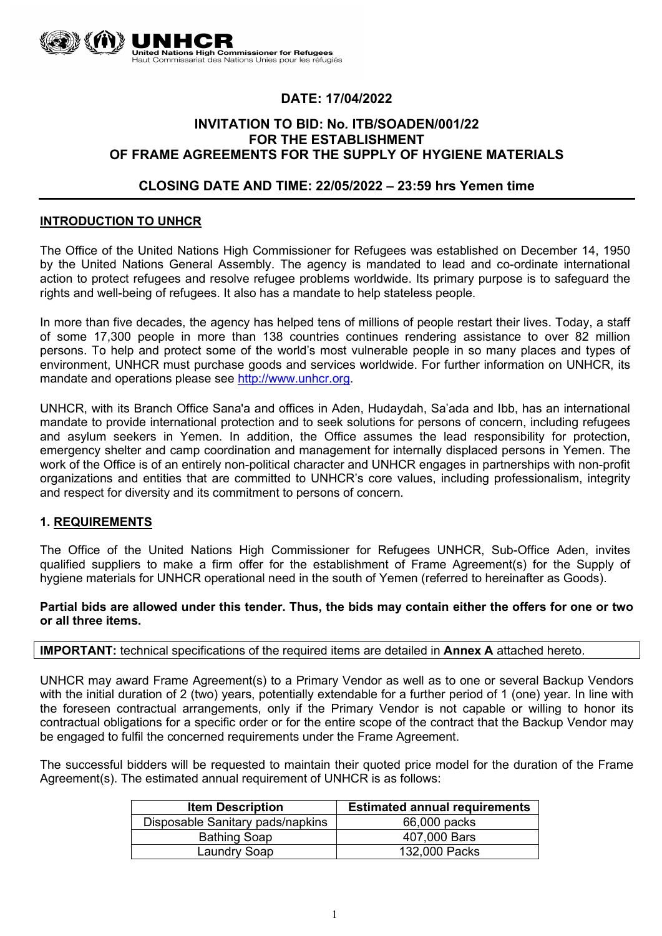

# **DATE: 17/04/2022**

# **INVITATION TO BID: No***.* **ITB/SOADEN/001/22 FOR THE ESTABLISHMENT OF FRAME AGREEMENTS FOR THE SUPPLY OF HYGIENE MATERIALS**

# **CLOSING DATE AND TIME: 22/05/2022 – 23:59 hrs Yemen time**

### **INTRODUCTION TO UNHCR**

The Office of the United Nations High Commissioner for Refugees was established on December 14, 1950 by the United Nations General Assembly. The agency is mandated to lead and co-ordinate international action to protect refugees and resolve refugee problems worldwide. Its primary purpose is to safeguard the rights and well-being of refugees. It also has a mandate to help stateless people.

In more than five decades, the agency has helped tens of millions of people restart their lives. Today, a staff of some 17,300 people in more than 138 countries continues rendering assistance to over 82 million persons. To help and protect some of the world's most vulnerable people in so many places and types of environment, UNHCR must purchase goods and services worldwide. For further information on UNHCR, its mandate and operations please see [http://www.unhcr.org.](http://www.unhcr.org/)

UNHCR, with its Branch Office Sana'a and offices in Aden, Hudaydah, Sa'ada and Ibb, has an international mandate to provide international protection and to seek solutions for persons of concern, including refugees and asylum seekers in Yemen. In addition, the Office assumes the lead responsibility for protection, emergency shelter and camp coordination and management for internally displaced persons in Yemen. The work of the Office is of an entirely non-political character and UNHCR engages in partnerships with non-profit organizations and entities that are committed to UNHCR's core values, including professionalism, integrity and respect for diversity and its commitment to persons of concern.

#### **1. REQUIREMENTS**

The Office of the United Nations High Commissioner for Refugees UNHCR, Sub-Office Aden, invites qualified suppliers to make a firm offer for the establishment of Frame Agreement(s) for the Supply of hygiene materials for UNHCR operational need in the south of Yemen (referred to hereinafter as Goods).

#### **Partial bids are allowed under this tender. Thus, the bids may contain either the offers for one or two or all three items.**

**IMPORTANT:** technical specifications of the required items are detailed in **Annex A** attached hereto.

UNHCR may award Frame Agreement(s) to a Primary Vendor as well as to one or several Backup Vendors with the initial duration of 2 (two) years, potentially extendable for a further period of 1 (one) year. In line with the foreseen contractual arrangements, only if the Primary Vendor is not capable or willing to honor its contractual obligations for a specific order or for the entire scope of the contract that the Backup Vendor may be engaged to fulfil the concerned requirements under the Frame Agreement.

The successful bidders will be requested to maintain their quoted price model for the duration of the Frame Agreement(s). The estimated annual requirement of UNHCR is as follows:

| <b>Item Description</b>          | <b>Estimated annual requirements</b> |
|----------------------------------|--------------------------------------|
| Disposable Sanitary pads/napkins | 66,000 packs                         |
| <b>Bathing Soap</b>              | 407,000 Bars                         |
| <b>Laundry Soap</b>              | 132,000 Packs                        |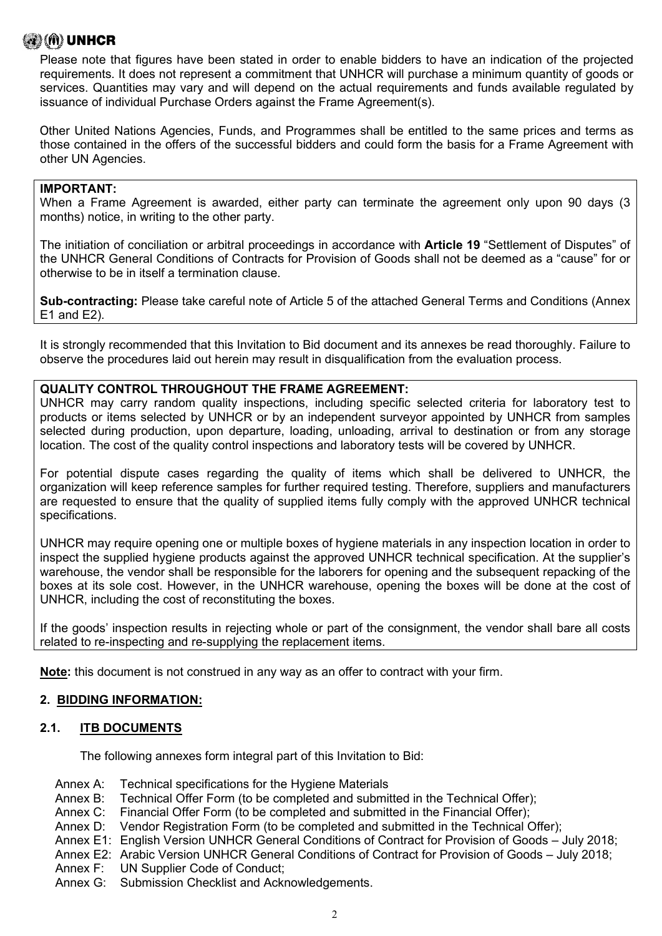# 》《M》 UNHCR

Please note that figures have been stated in order to enable bidders to have an indication of the projected requirements. It does not represent a commitment that UNHCR will purchase a minimum quantity of goods or services. Quantities may vary and will depend on the actual requirements and funds available regulated by issuance of individual Purchase Orders against the Frame Agreement(s).

Other United Nations Agencies, Funds, and Programmes shall be entitled to the same prices and terms as those contained in the offers of the successful bidders and could form the basis for a Frame Agreement with other UN Agencies.

## **IMPORTANT:**

When a Frame Agreement is awarded, either party can terminate the agreement only upon 90 days (3 months) notice, in writing to the other party.

The initiation of conciliation or arbitral proceedings in accordance with **Article 19** "Settlement of Disputes" of the UNHCR General Conditions of Contracts for Provision of Goods shall not be deemed as a "cause" for or otherwise to be in itself a termination clause.

**Sub-contracting:** Please take careful note of Article 5 of the attached General Terms and Conditions (Annex E1 and E2).

It is strongly recommended that this Invitation to Bid document and its annexes be read thoroughly. Failure to observe the procedures laid out herein may result in disqualification from the evaluation process.

# **QUALITY CONTROL THROUGHOUT THE FRAME AGREEMENT:**

UNHCR may carry random quality inspections, including specific selected criteria for laboratory test to products or items selected by UNHCR or by an independent surveyor appointed by UNHCR from samples selected during production, upon departure, loading, unloading, arrival to destination or from any storage location. The cost of the quality control inspections and laboratory tests will be covered by UNHCR.

For potential dispute cases regarding the quality of items which shall be delivered to UNHCR, the organization will keep reference samples for further required testing. Therefore, suppliers and manufacturers are requested to ensure that the quality of supplied items fully comply with the approved UNHCR technical specifications.

UNHCR may require opening one or multiple boxes of hygiene materials in any inspection location in order to inspect the supplied hygiene products against the approved UNHCR technical specification. At the supplier's warehouse, the vendor shall be responsible for the laborers for opening and the subsequent repacking of the boxes at its sole cost. However, in the UNHCR warehouse, opening the boxes will be done at the cost of UNHCR, including the cost of reconstituting the boxes.

If the goods' inspection results in rejecting whole or part of the consignment, the vendor shall bare all costs related to re-inspecting and re-supplying the replacement items.

**Note:** this document is not construed in any way as an offer to contract with your firm.

### **2. BIDDING INFORMATION:**

### **2.1. ITB DOCUMENTS**

The following annexes form integral part of this Invitation to Bid:

- Annex A: Technical specifications for the Hygiene Materials
- Annex B: Technical Offer Form (to be completed and submitted in the Technical Offer);
- Annex C: Financial Offer Form (to be completed and submitted in the Financial Offer);
- Annex D: Vendor Registration Form (to be completed and submitted in the Technical Offer);
- Annex E1: English Version UNHCR General Conditions of Contract for Provision of Goods July 2018;
- Annex E2: Arabic Version UNHCR General Conditions of Contract for Provision of Goods July 2018;
- Annex F: UN Supplier Code of Conduct;
- Annex G: Submission Checklist and Acknowledgements.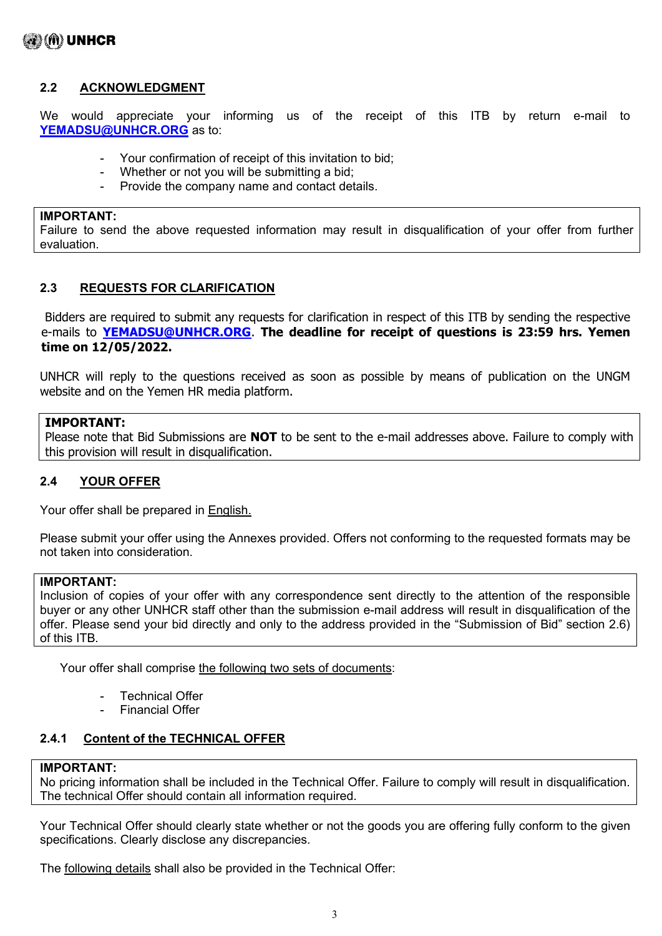## **2.2 ACKNOWLEDGMENT**

We would appreciate your informing us of the receipt of this ITB by return e-mail to **[YEMADSU@UNHCR.ORG](mailto:yemadsu@unhcr.org)** as to:

- Your confirmation of receipt of this invitation to bid;
- Whether or not you will be submitting a bid;
- Provide the company name and contact details.

#### **IMPORTANT:**

Failure to send the above requested information may result in disqualification of your offer from further evaluation.

## **2.3 REQUESTS FOR CLARIFICATION**

Bidders are required to submit any requests for clarification in respect of this ITB by sending the respective e-mails to **[YEMADSU@UNHCR.ORG](mailto:yemadsu@unhcr.org)**. **The deadline for receipt of questions is 23:59 hrs. Yemen time on 12/05/2022.** 

UNHCR will reply to the questions received as soon as possible by means of publication on the UNGM website and on the Yemen HR media platform.

#### **IMPORTANT:**

Please note that Bid Submissions are **NOT** to be sent to the e-mail addresses above. Failure to comply with this provision will result in disqualification.

### **2.4 YOUR OFFER**

Your offer shall be prepared in **English.** 

Please submit your offer using the Annexes provided. Offers not conforming to the requested formats may be not taken into consideration.

#### **IMPORTANT:**

Inclusion of copies of your offer with any correspondence sent directly to the attention of the responsible buyer or any other UNHCR staff other than the submission e-mail address will result in disqualification of the offer. Please send your bid directly and only to the address provided in the "Submission of Bid" section 2.6) of this ITB.

Your offer shall comprise the following two sets of documents:

- Technical Offer
- **Financial Offer**

### **2.4.1 Content of the TECHNICAL OFFER**

#### **IMPORTANT:**

No pricing information shall be included in the Technical Offer. Failure to comply will result in disqualification. The technical Offer should contain all information required.

Your Technical Offer should clearly state whether or not the goods you are offering fully conform to the given specifications. Clearly disclose any discrepancies.

The following details shall also be provided in the Technical Offer: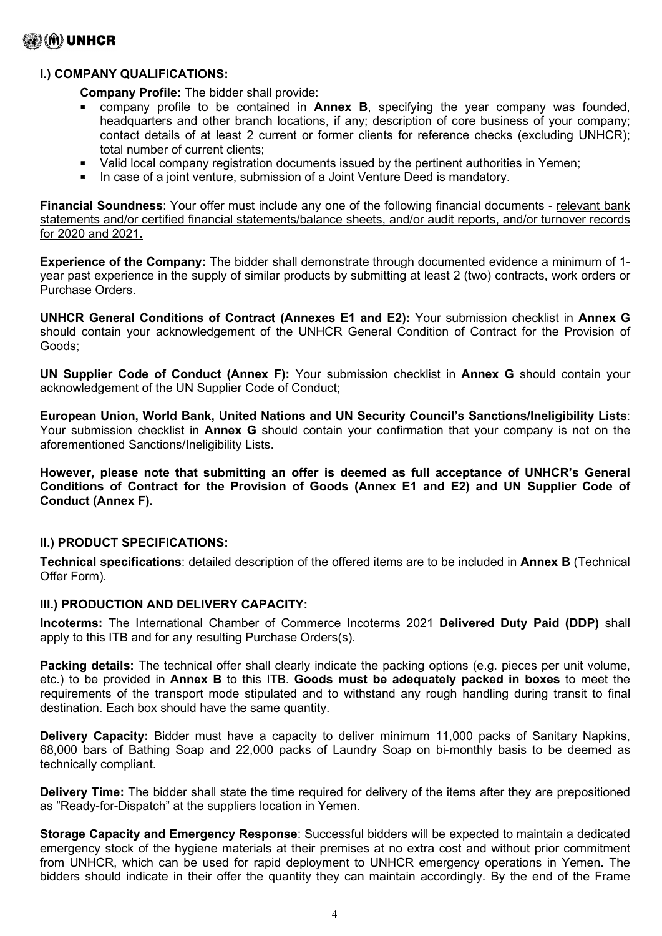# (@) (M) UNHCR

## **I.) COMPANY QUALIFICATIONS:**

**Company Profile:** The bidder shall provide:

- company profile to be contained in **Annex B**, specifying the year company was founded, headquarters and other branch locations, if any; description of core business of your company; contact details of at least 2 current or former clients for reference checks (excluding UNHCR); total number of current clients;
- Valid local company registration documents issued by the pertinent authorities in Yemen;
- In case of a joint venture, submission of a Joint Venture Deed is mandatory.

**Financial Soundness**: Your offer must include any one of the following financial documents - relevant bank statements and/or certified financial statements/balance sheets, and/or audit reports, and/or turnover records for 2020 and 2021.

**Experience of the Company:** The bidder shall demonstrate through documented evidence a minimum of 1 year past experience in the supply of similar products by submitting at least 2 (two) contracts, work orders or Purchase Orders.

**UNHCR General Conditions of Contract (Annexes E1 and E2):** Your submission checklist in **Annex G** should contain your acknowledgement of the UNHCR General Condition of Contract for the Provision of Goods;

**UN Supplier Code of Conduct (Annex F):** Your submission checklist in **Annex G** should contain your acknowledgement of the UN Supplier Code of Conduct;

**European Union, World Bank, United Nations and UN Security Council's Sanctions/Ineligibility Lists**: Your submission checklist in **Annex G** should contain your confirmation that your company is not on the aforementioned Sanctions/Ineligibility Lists.

**However, please note that submitting an offer is deemed as full acceptance of UNHCR's General Conditions of Contract for the Provision of Goods (Annex E1 and E2) and UN Supplier Code of Conduct (Annex F).** 

### **II.) PRODUCT SPECIFICATIONS:**

**Technical specifications**: detailed description of the offered items are to be included in **Annex B** (Technical Offer Form).

### **III.) PRODUCTION AND DELIVERY CAPACITY:**

**Incoterms:** The International Chamber of Commerce Incoterms 2021 **Delivered Duty Paid (DDP)** shall apply to this ITB and for any resulting Purchase Orders(s).

**Packing details:** The technical offer shall clearly indicate the packing options (e.g. pieces per unit volume, etc.) to be provided in **Annex B** to this ITB. **Goods must be adequately packed in boxes** to meet the requirements of the transport mode stipulated and to withstand any rough handling during transit to final destination. Each box should have the same quantity.

**Delivery Capacity:** Bidder must have a capacity to deliver minimum 11,000 packs of Sanitary Napkins, 68,000 bars of Bathing Soap and 22,000 packs of Laundry Soap on bi-monthly basis to be deemed as technically compliant.

**Delivery Time:** The bidder shall state the time required for delivery of the items after they are prepositioned as "Ready-for-Dispatch" at the suppliers location in Yemen.

**Storage Capacity and Emergency Response**: Successful bidders will be expected to maintain a dedicated emergency stock of the hygiene materials at their premises at no extra cost and without prior commitment from UNHCR, which can be used for rapid deployment to UNHCR emergency operations in Yemen. The bidders should indicate in their offer the quantity they can maintain accordingly. By the end of the Frame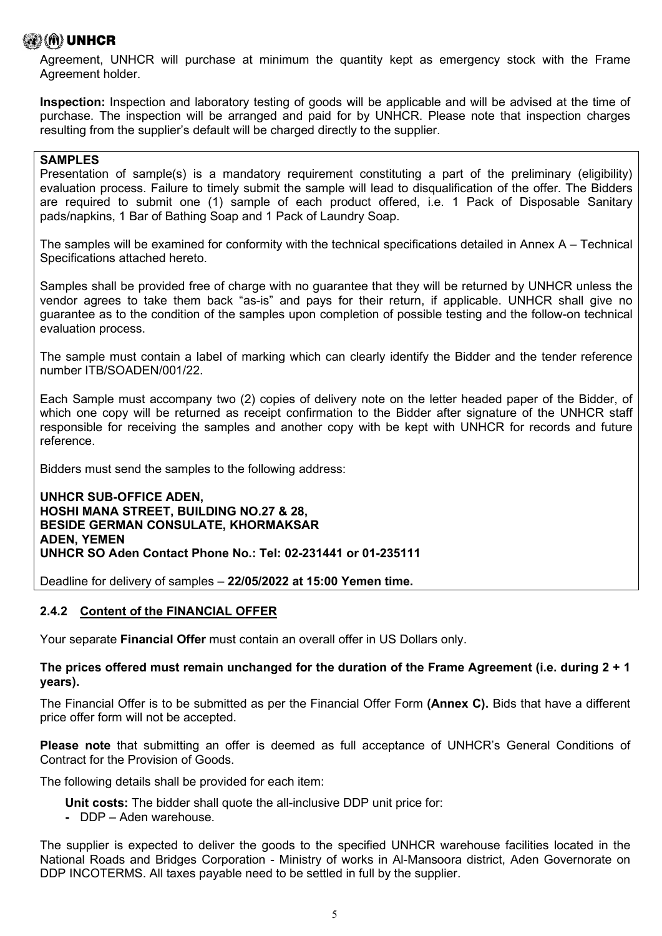# ▒《M》 UNHCR

Agreement, UNHCR will purchase at minimum the quantity kept as emergency stock with the Frame Agreement holder.

**Inspection:** Inspection and laboratory testing of goods will be applicable and will be advised at the time of purchase. The inspection will be arranged and paid for by UNHCR. Please note that inspection charges resulting from the supplier's default will be charged directly to the supplier.

### **SAMPLES**

Presentation of sample(s) is a mandatory requirement constituting a part of the preliminary (eligibility) evaluation process. Failure to timely submit the sample will lead to disqualification of the offer. The Bidders are required to submit one (1) sample of each product offered, i.e. 1 Pack of Disposable Sanitary pads/napkins, 1 Bar of Bathing Soap and 1 Pack of Laundry Soap.

The samples will be examined for conformity with the technical specifications detailed in Annex A – Technical Specifications attached hereto.

Samples shall be provided free of charge with no guarantee that they will be returned by UNHCR unless the vendor agrees to take them back "as-is" and pays for their return, if applicable. UNHCR shall give no guarantee as to the condition of the samples upon completion of possible testing and the follow-on technical evaluation process.

The sample must contain a label of marking which can clearly identify the Bidder and the tender reference number ITB/SOADEN/001/22.

Each Sample must accompany two (2) copies of delivery note on the letter headed paper of the Bidder, of which one copy will be returned as receipt confirmation to the Bidder after signature of the UNHCR staff responsible for receiving the samples and another copy with be kept with UNHCR for records and future reference.

Bidders must send the samples to the following address:

**UNHCR SUB-OFFICE ADEN, HOSHI MANA STREET, BUILDING NO.27 & 28, BESIDE GERMAN CONSULATE, KHORMAKSAR ADEN, YEMEN UNHCR SO Aden Contact Phone No.: Tel: 02-231441 or 01-235111** 

Deadline for delivery of samples – **22/05/2022 at 15:00 Yemen time.**

### **2.4.2 Content of the FINANCIAL OFFER**

Your separate **Financial Offer** must contain an overall offer in US Dollars only.

#### **The prices offered must remain unchanged for the duration of the Frame Agreement (i.e. during 2 + 1 years).**

The Financial Offer is to be submitted as per the Financial Offer Form **(Annex C).** Bids that have a different price offer form will not be accepted.

**Please note** that submitting an offer is deemed as full acceptance of UNHCR's General Conditions of Contract for the Provision of Goods.

The following details shall be provided for each item:

- **Unit costs:** The bidder shall quote the all-inclusive DDP unit price for:
- DDP Aden warehouse.

The supplier is expected to deliver the goods to the specified UNHCR warehouse facilities located in the National Roads and Bridges Corporation - Ministry of works in Al-Mansoora district, Aden Governorate on DDP INCOTERMS. All taxes payable need to be settled in full by the supplier.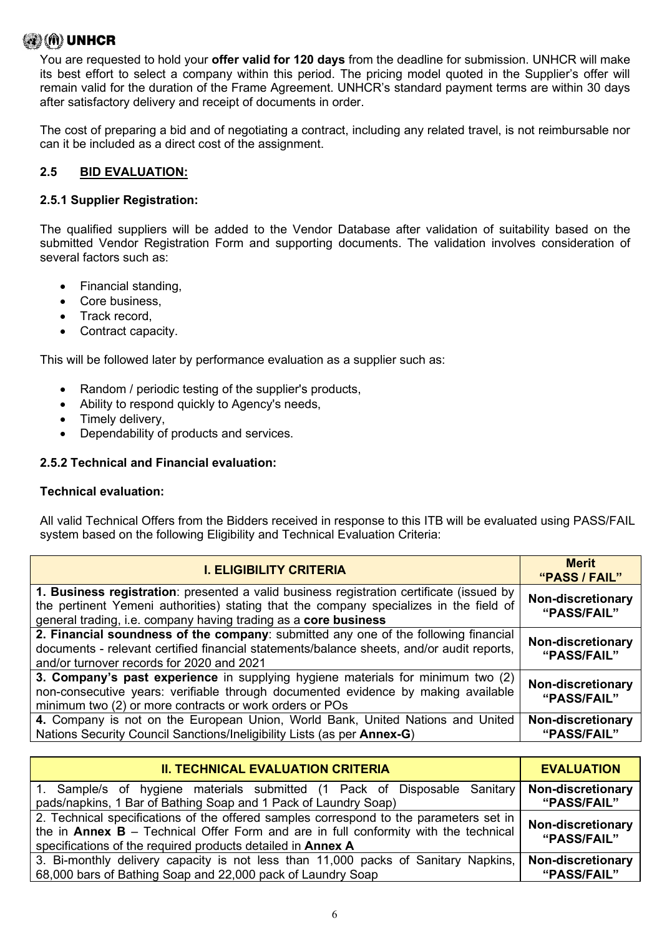# **BUD UNHCR**

You are requested to hold your **offer valid for 120 days** from the deadline for submission. UNHCR will make its best effort to select a company within this period. The pricing model quoted in the Supplier's offer will remain valid for the duration of the Frame Agreement. UNHCR's standard payment terms are within 30 days after satisfactory delivery and receipt of documents in order.

The cost of preparing a bid and of negotiating a contract, including any related travel, is not reimbursable nor can it be included as a direct cost of the assignment.

# **2.5 BID EVALUATION:**

# **2.5.1 Supplier Registration:**

The qualified suppliers will be added to the Vendor Database after validation of suitability based on the submitted Vendor Registration Form and supporting documents. The validation involves consideration of several factors such as:

- Financial standing,
- Core business,
- Track record,
- Contract capacity.

This will be followed later by performance evaluation as a supplier such as:

- Random / periodic testing of the supplier's products,
- Ability to respond quickly to Agency's needs,
- Timely delivery,
- Dependability of products and services.

## **2.5.2 Technical and Financial evaluation:**

### **Technical evaluation:**

All valid Technical Offers from the Bidders received in response to this ITB will be evaluated using PASS/FAIL system based on the following Eligibility and Technical Evaluation Criteria:

| <b>I. ELIGIBILITY CRITERIA</b>                                                                                                                                                                                                                        | <b>Merit</b><br>"PASS / FAIL"           |
|-------------------------------------------------------------------------------------------------------------------------------------------------------------------------------------------------------------------------------------------------------|-----------------------------------------|
| 1. Business registration: presented a valid business registration certificate (issued by<br>the pertinent Yemeni authorities) stating that the company specializes in the field of<br>general trading, i.e. company having trading as a core business | <b>Non-discretionary</b><br>"PASS/FAIL" |
| 2. Financial soundness of the company: submitted any one of the following financial<br>documents - relevant certified financial statements/balance sheets, and/or audit reports,<br>and/or turnover records for 2020 and 2021                         | <b>Non-discretionary</b><br>"PASS/FAIL" |
| 3. Company's past experience in supplying hygiene materials for minimum two (2)<br>non-consecutive years: verifiable through documented evidence by making available<br>minimum two (2) or more contracts or work orders or POs                       | <b>Non-discretionary</b><br>"PASS/FAIL" |
| 4. Company is not on the European Union, World Bank, United Nations and United<br>Nations Security Council Sanctions/Ineligibility Lists (as per Annex-G)                                                                                             | <b>Non-discretionary</b><br>"PASS/FAIL" |

| <b>II. TECHNICAL EVALUATION CRITERIA</b>                                                                                                                                                                                                       | <b>EVALUATION</b>                       |
|------------------------------------------------------------------------------------------------------------------------------------------------------------------------------------------------------------------------------------------------|-----------------------------------------|
| 1. Sample/s of hygiene materials submitted (1 Pack of Disposable Sanitary                                                                                                                                                                      | <b>Non-discretionary</b>                |
| pads/napkins, 1 Bar of Bathing Soap and 1 Pack of Laundry Soap)                                                                                                                                                                                | "PASS/FAIL"                             |
| 2. Technical specifications of the offered samples correspond to the parameters set in<br>the in Annex $B$ – Technical Offer Form and are in full conformity with the technical<br>specifications of the required products detailed in Annex A | <b>Non-discretionary</b><br>"PASS/FAIL" |
| 3. Bi-monthly delivery capacity is not less than 11,000 packs of Sanitary Napkins,                                                                                                                                                             | <b>Non-discretionary</b>                |
| 68,000 bars of Bathing Soap and 22,000 pack of Laundry Soap                                                                                                                                                                                    | "PASS/FAIL"                             |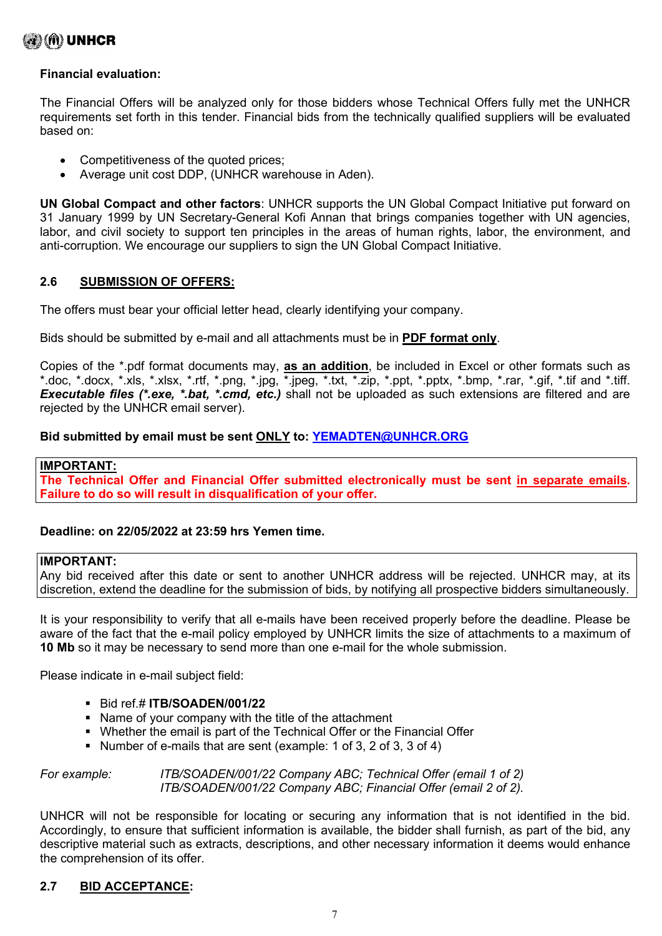

#### **Financial evaluation:**

The Financial Offers will be analyzed only for those bidders whose Technical Offers fully met the UNHCR requirements set forth in this tender. Financial bids from the technically qualified suppliers will be evaluated based on:

- Competitiveness of the quoted prices;
- Average unit cost DDP, (UNHCR warehouse in Aden).

**UN Global Compact and other factors**: UNHCR supports the UN Global Compact Initiative put forward on 31 January 1999 by UN Secretary-General Kofi Annan that brings companies together with UN agencies, labor, and civil society to support ten principles in the areas of human rights, labor, the environment, and anti-corruption. We encourage our suppliers to sign the UN Global Compact Initiative.

### **2.6 SUBMISSION OF OFFERS:**

The offers must bear your official letter head, clearly identifying your company.

Bids should be submitted by e-mail and all attachments must be in **PDF format only**.

Copies of the \*.pdf format documents may, **as an addition**, be included in Excel or other formats such as \*.doc, \*.docx, \*.xls, \*.xlsx, \*.rtf, \*.png, \*.jpg, \*.jpeg, \*.txt, \*.zip, \*.ppt, \*.pptx, \*.bmp, \*.rar, \*.gif, \*.tif and \*.tiff. *Executable files (\*.exe, \*.bat, \*.cmd, etc.)* shall not be uploaded as such extensions are filtered and are rejected by the UNHCR email server).

### **Bid submitted by email must be sent ONLY to: [YEMADTEN@UNHCR.ORG](mailto:yemadten@unhcr.org)**

#### **IMPORTANT:**

**The Technical Offer and Financial Offer submitted electronically must be sent in separate emails. Failure to do so will result in disqualification of your offer.** 

#### **Deadline: on 22/05/2022 at 23:59 hrs Yemen time.**

#### **IMPORTANT:**

Any bid received after this date or sent to another UNHCR address will be rejected. UNHCR may, at its discretion, extend the deadline for the submission of bids, by notifying all prospective bidders simultaneously.

It is your responsibility to verify that all e-mails have been received properly before the deadline. Please be aware of the fact that the e-mail policy employed by UNHCR limits the size of attachments to a maximum of **10 Mb** so it may be necessary to send more than one e-mail for the whole submission.

Please indicate in e-mail subject field:

- $B$  Bid ref.# **ITB/SOADEN/001/22**
- Name of your company with the title of the attachment
- Whether the email is part of the Technical Offer or the Financial Offer
- Number of e-mails that are sent (example: 1 of 3, 2 of 3, 3 of 4)

*For example: ITB/SOADEN/001/22 Company ABC; Technical Offer (email 1 of 2) ITB/SOADEN/001/22 Company ABC; Financial Offer (email 2 of 2).* 

UNHCR will not be responsible for locating or securing any information that is not identified in the bid. Accordingly, to ensure that sufficient information is available, the bidder shall furnish, as part of the bid, any descriptive material such as extracts, descriptions, and other necessary information it deems would enhance the comprehension of its offer.

### **2.7 BID ACCEPTANCE:**